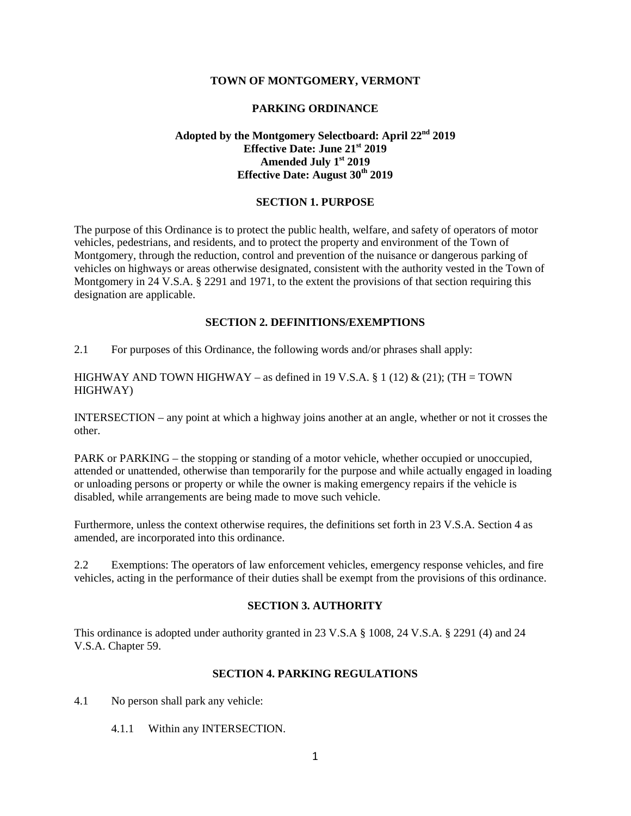#### **TOWN OF MONTGOMERY, VERMONT**

#### **PARKING ORDINANCE**

## **Adopted by the Montgomery Selectboard: April 22nd 2019 Effective Date: June 21st 2019 Amended July 1st 2019 Effective Date: August 30th 2019**

#### **SECTION 1. PURPOSE**

The purpose of this Ordinance is to protect the public health, welfare, and safety of operators of motor vehicles, pedestrians, and residents, and to protect the property and environment of the Town of Montgomery, through the reduction, control and prevention of the nuisance or dangerous parking of vehicles on highways or areas otherwise designated, consistent with the authority vested in the Town of Montgomery in 24 V.S.A. § 2291 and 1971, to the extent the provisions of that section requiring this designation are applicable.

## **SECTION 2. DEFINITIONS/EXEMPTIONS**

2.1 For purposes of this Ordinance, the following words and/or phrases shall apply:

HIGHWAY AND TOWN HIGHWAY – as defined in 19 V.S.A.  $\S 1$  (12) & (21); (TH = TOWN HIGHWAY)

INTERSECTION – any point at which a highway joins another at an angle, whether or not it crosses the other.

PARK or PARKING – the stopping or standing of a motor vehicle, whether occupied or unoccupied, attended or unattended, otherwise than temporarily for the purpose and while actually engaged in loading or unloading persons or property or while the owner is making emergency repairs if the vehicle is disabled, while arrangements are being made to move such vehicle.

Furthermore, unless the context otherwise requires, the definitions set forth in 23 V.S.A. Section 4 as amended, are incorporated into this ordinance.

2.2 Exemptions: The operators of law enforcement vehicles, emergency response vehicles, and fire vehicles, acting in the performance of their duties shall be exempt from the provisions of this ordinance.

## **SECTION 3. AUTHORITY**

This ordinance is adopted under authority granted in 23 V.S.A § 1008, 24 V.S.A. § 2291 (4) and 24 V.S.A. Chapter 59.

#### **SECTION 4. PARKING REGULATIONS**

- 4.1 No person shall park any vehicle:
	- 4.1.1 Within any INTERSECTION.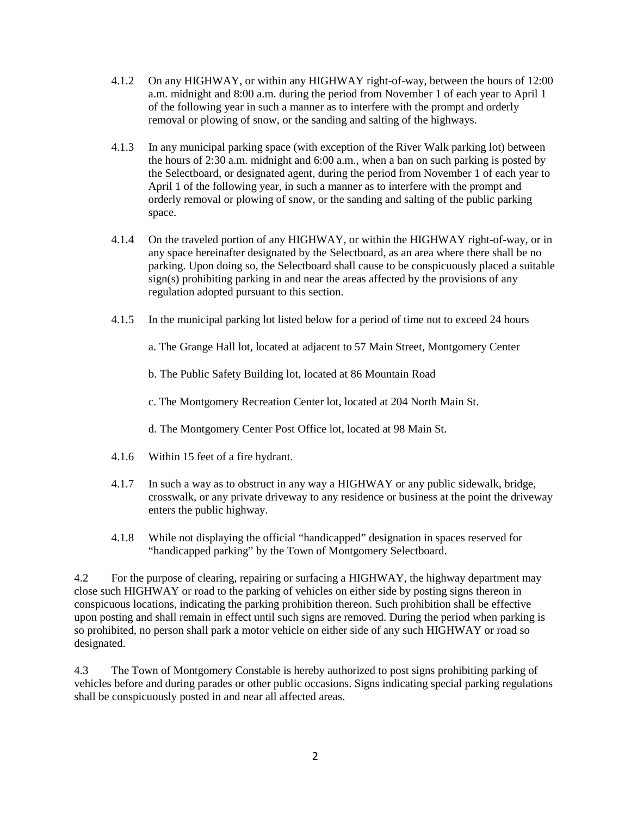- 4.1.2 On any HIGHWAY, or within any HIGHWAY right-of-way, between the hours of 12:00 a.m. midnight and 8:00 a.m. during the period from November 1 of each year to April 1 of the following year in such a manner as to interfere with the prompt and orderly removal or plowing of snow, or the sanding and salting of the highways.
- 4.1.3 In any municipal parking space (with exception of the River Walk parking lot) between the hours of 2:30 a.m. midnight and 6:00 a.m., when a ban on such parking is posted by the Selectboard, or designated agent, during the period from November 1 of each year to April 1 of the following year, in such a manner as to interfere with the prompt and orderly removal or plowing of snow, or the sanding and salting of the public parking space.
- 4.1.4 On the traveled portion of any HIGHWAY, or within the HIGHWAY right-of-way, or in any space hereinafter designated by the Selectboard, as an area where there shall be no parking. Upon doing so, the Selectboard shall cause to be conspicuously placed a suitable sign(s) prohibiting parking in and near the areas affected by the provisions of any regulation adopted pursuant to this section.
- 4.1.5 In the municipal parking lot listed below for a period of time not to exceed 24 hours

a. The Grange Hall lot, located at adjacent to 57 Main Street, Montgomery Center

b. The Public Safety Building lot, located at 86 Mountain Road

c. The Montgomery Recreation Center lot, located at 204 North Main St.

d. The Montgomery Center Post Office lot, located at 98 Main St.

- 4.1.6 Within 15 feet of a fire hydrant.
- 4.1.7 In such a way as to obstruct in any way a HIGHWAY or any public sidewalk, bridge, crosswalk, or any private driveway to any residence or business at the point the driveway enters the public highway.
- 4.1.8 While not displaying the official "handicapped" designation in spaces reserved for "handicapped parking" by the Town of Montgomery Selectboard.

4.2 For the purpose of clearing, repairing or surfacing a HIGHWAY, the highway department may close such HIGHWAY or road to the parking of vehicles on either side by posting signs thereon in conspicuous locations, indicating the parking prohibition thereon. Such prohibition shall be effective upon posting and shall remain in effect until such signs are removed. During the period when parking is so prohibited, no person shall park a motor vehicle on either side of any such HIGHWAY or road so designated.

4.3 The Town of Montgomery Constable is hereby authorized to post signs prohibiting parking of vehicles before and during parades or other public occasions. Signs indicating special parking regulations shall be conspicuously posted in and near all affected areas.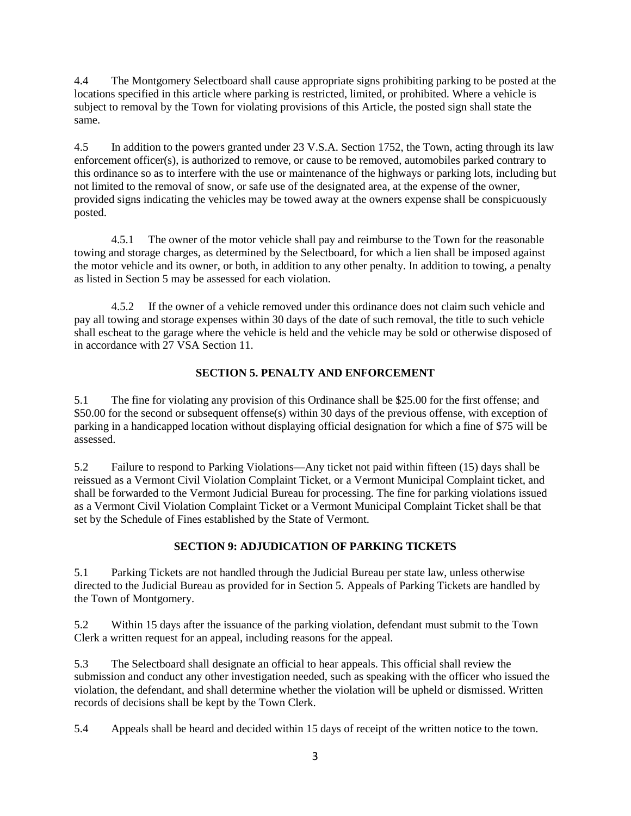4.4 The Montgomery Selectboard shall cause appropriate signs prohibiting parking to be posted at the locations specified in this article where parking is restricted, limited, or prohibited. Where a vehicle is subject to removal by the Town for violating provisions of this Article, the posted sign shall state the same.

4.5 In addition to the powers granted under 23 V.S.A. Section 1752, the Town, acting through its law enforcement officer(s), is authorized to remove, or cause to be removed, automobiles parked contrary to this ordinance so as to interfere with the use or maintenance of the highways or parking lots, including but not limited to the removal of snow, or safe use of the designated area, at the expense of the owner, provided signs indicating the vehicles may be towed away at the owners expense shall be conspicuously posted.

4.5.1 The owner of the motor vehicle shall pay and reimburse to the Town for the reasonable towing and storage charges, as determined by the Selectboard, for which a lien shall be imposed against the motor vehicle and its owner, or both, in addition to any other penalty. In addition to towing, a penalty as listed in Section 5 may be assessed for each violation.

4.5.2 If the owner of a vehicle removed under this ordinance does not claim such vehicle and pay all towing and storage expenses within 30 days of the date of such removal, the title to such vehicle shall escheat to the garage where the vehicle is held and the vehicle may be sold or otherwise disposed of in accordance with 27 VSA Section 11.

## **SECTION 5. PENALTY AND ENFORCEMENT**

5.1 The fine for violating any provision of this Ordinance shall be \$25.00 for the first offense; and \$50.00 for the second or subsequent offense(s) within 30 days of the previous offense, with exception of parking in a handicapped location without displaying official designation for which a fine of \$75 will be assessed.

5.2 Failure to respond to Parking Violations—Any ticket not paid within fifteen (15) days shall be reissued as a Vermont Civil Violation Complaint Ticket, or a Vermont Municipal Complaint ticket, and shall be forwarded to the Vermont Judicial Bureau for processing. The fine for parking violations issued as a Vermont Civil Violation Complaint Ticket or a Vermont Municipal Complaint Ticket shall be that set by the Schedule of Fines established by the State of Vermont.

# **SECTION 9: ADJUDICATION OF PARKING TICKETS**

5.1 Parking Tickets are not handled through the Judicial Bureau per state law, unless otherwise directed to the Judicial Bureau as provided for in Section 5. Appeals of Parking Tickets are handled by the Town of Montgomery.

5.2 Within 15 days after the issuance of the parking violation, defendant must submit to the Town Clerk a written request for an appeal, including reasons for the appeal.

5.3 The Selectboard shall designate an official to hear appeals. This official shall review the submission and conduct any other investigation needed, such as speaking with the officer who issued the violation, the defendant, and shall determine whether the violation will be upheld or dismissed. Written records of decisions shall be kept by the Town Clerk.

5.4 Appeals shall be heard and decided within 15 days of receipt of the written notice to the town.